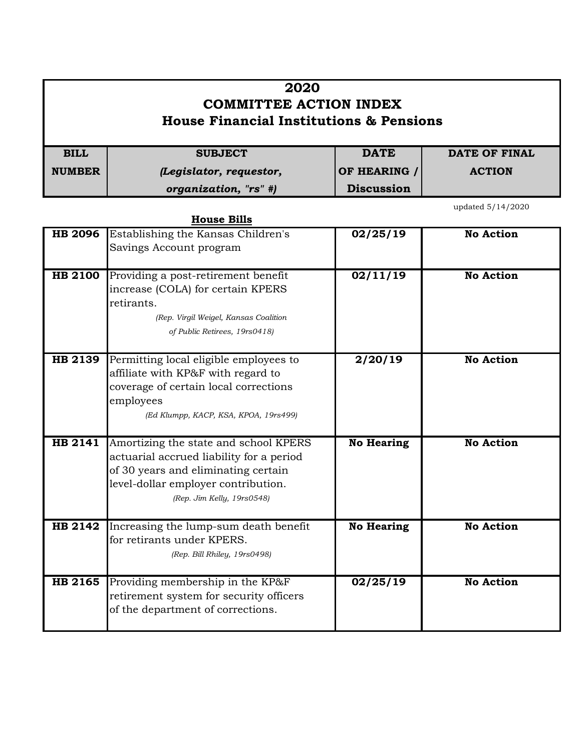| 2020<br><b>COMMITTEE ACTION INDEX</b><br><b>House Financial Institutions &amp; Pensions</b> |                         |                   |               |
|---------------------------------------------------------------------------------------------|-------------------------|-------------------|---------------|
| <b>BILL</b>                                                                                 | <b>SUBJECT</b>          | <b>DATE</b>       | DATE OF FINAL |
| <b>NUMBER</b>                                                                               | (Legislator, requestor, | OF HEARING /      | <b>ACTION</b> |
|                                                                                             | organization, "rs" #)   | <b>Discussion</b> |               |

**House Bills**

updated 5/14/2020

| <b>HB 2096</b> | Establishing the Kansas Children's       | 02/25/19          | <b>No Action</b> |
|----------------|------------------------------------------|-------------------|------------------|
|                | Savings Account program                  |                   |                  |
|                |                                          |                   |                  |
| <b>HB 2100</b> | Providing a post-retirement benefit      | 02/11/19          | <b>No Action</b> |
|                | increase (COLA) for certain KPERS        |                   |                  |
|                | retirants.                               |                   |                  |
|                | (Rep. Virgil Weigel, Kansas Coalition    |                   |                  |
|                | of Public Retirees, 19rs0418)            |                   |                  |
| <b>HB 2139</b> | Permitting local eligible employees to   | 2/20/19           | <b>No Action</b> |
|                | affiliate with KP&F with regard to       |                   |                  |
|                | coverage of certain local corrections    |                   |                  |
|                | employees                                |                   |                  |
|                | (Ed Klumpp, KACP, KSA, KPOA, 19rs499)    |                   |                  |
|                |                                          |                   |                  |
| <b>HB 2141</b> | Amortizing the state and school KPERS    | <b>No Hearing</b> | <b>No Action</b> |
|                | actuarial accrued liability for a period |                   |                  |
|                | of 30 years and eliminating certain      |                   |                  |
|                | level-dollar employer contribution.      |                   |                  |
|                | (Rep. Jim Kelly, 19rs0548)               |                   |                  |
|                |                                          |                   |                  |
| HB 2142        | Increasing the lump-sum death benefit    | <b>No Hearing</b> | <b>No Action</b> |
|                | for retirants under KPERS.               |                   |                  |
|                | (Rep. Bill Rhiley, 19rs0498)             |                   |                  |
|                |                                          |                   |                  |
| <b>HB 2165</b> | Providing membership in the KP&F         | 02/25/19          | <b>No Action</b> |
|                | retirement system for security officers  |                   |                  |
|                | of the department of corrections.        |                   |                  |
|                |                                          |                   |                  |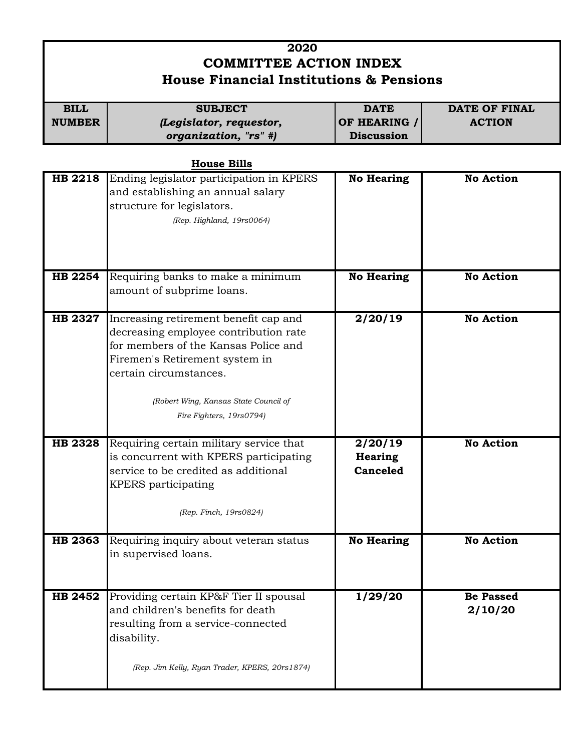## **2020 COMMITTEE ACTION INDEX House Financial Institutions & Pensions**

| <b>BILL</b>   | <b>SUBJECT</b>          | <b>DATE</b>       | <b>DATE OF FINAL</b> |
|---------------|-------------------------|-------------------|----------------------|
| <b>NUMBER</b> | (Legislator, requestor, | OF HEARING /      | <b>ACTION</b>        |
|               | organization, "rs" #)   | <b>Discussion</b> |                      |

**House Bills**

| <b>HB 2218</b>                   | Ending legislator participation in KPERS<br>and establishing an annual salary<br>structure for legislators.<br>(Rep. Highland, 19rs0064)                                                                                                                                                                                                                                             | <b>No Hearing</b>                                | <b>No Action</b>                     |
|----------------------------------|--------------------------------------------------------------------------------------------------------------------------------------------------------------------------------------------------------------------------------------------------------------------------------------------------------------------------------------------------------------------------------------|--------------------------------------------------|--------------------------------------|
| HB 2254                          | Requiring banks to make a minimum<br>amount of subprime loans.                                                                                                                                                                                                                                                                                                                       | <b>No Hearing</b>                                | <b>No Action</b>                     |
| <b>HB 2327</b><br><b>HB 2328</b> | Increasing retirement benefit cap and<br>decreasing employee contribution rate<br>for members of the Kansas Police and<br>Firemen's Retirement system in<br>certain circumstances.<br>(Robert Wing, Kansas State Council of<br>Fire Fighters, 19rs0794)<br>Requiring certain military service that<br>is concurrent with KPERS participating<br>service to be credited as additional | 2/20/19<br>2/20/19<br><b>Hearing</b><br>Canceled | <b>No Action</b><br><b>No Action</b> |
|                                  | KPERS participating<br>(Rep. Finch, 19rs0824)                                                                                                                                                                                                                                                                                                                                        |                                                  |                                      |
| HB 2363                          | Requiring inquiry about veteran status<br>in supervised loans.                                                                                                                                                                                                                                                                                                                       | <b>No Hearing</b>                                | <b>No Action</b>                     |
| HB 2452                          | Providing certain KP&F Tier II spousal<br>and children's benefits for death<br>resulting from a service-connected<br>disability.<br>(Rep. Jim Kelly, Ryan Trader, KPERS, 20rs1874)                                                                                                                                                                                                   | 1/29/20                                          | Be Passed<br>2/10/20                 |